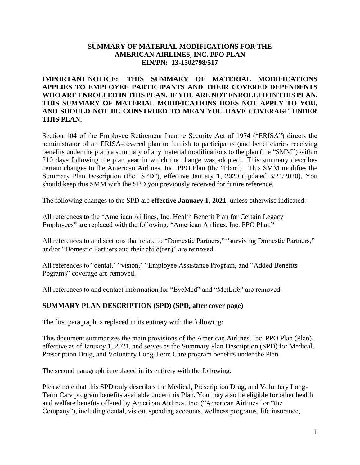#### **SUMMARY OF MATERIAL MODIFICATIONS FOR THE AMERICAN AIRLINES, INC. PPO PLAN EIN/PN: 13-1502798/517**

### **IMPORTANT NOTICE: THIS SUMMARY OF MATERIAL MODIFICATIONS APPLIES TO EMPLOYEE PARTICIPANTS AND THEIR COVERED DEPENDENTS WHO ARE ENROLLED IN THIS PLAN. IF YOU ARE NOT ENROLLED IN THIS PLAN, THIS SUMMARY OF MATERIAL MODIFICATIONS DOES NOT APPLY TO YOU, AND SHOULD NOT BE CONSTRUED TO MEAN YOU HAVE COVERAGE UNDER THIS PLAN.**

Section 104 of the Employee Retirement Income Security Act of 1974 ("ERISA") directs the administrator of an ERISA-covered plan to furnish to participants (and beneficiaries receiving benefits under the plan) a summary of any material modifications to the plan (the "SMM") within 210 days following the plan year in which the change was adopted. This summary describes certain changes to the American Airlines, Inc. PPO Plan (the "Plan"). This SMM modifies the Summary Plan Description (the "SPD"), effective January 1, 2020 (updated 3/24/2020). You should keep this SMM with the SPD you previously received for future reference.

The following changes to the SPD are **effective January 1, 2021**, unless otherwise indicated:

All references to the "American Airlines, Inc. Health Benefit Plan for Certain Legacy Employees" are replaced with the following: "American Airlines, Inc. PPO Plan."

All references to and sections that relate to "Domestic Partners," "surviving Domestic Partners," and/or "Domestic Partners and their child(ren)" are removed.

All references to "dental," "vision," "Employee Assistance Program, and "Added Benefits Pograms" coverage are removed.

All references to and contact information for "EyeMed" and "MetLife" are removed.

#### **SUMMARY PLAN DESCRIPTION (SPD) (SPD, after cover page)**

The first paragraph is replaced in its entirety with the following:

This document summarizes the main provisions of the American Airlines, Inc. PPO Plan (Plan), effective as of January 1, 2021, and serves as the Summary Plan Description (SPD) for Medical, Prescription Drug, and Voluntary Long-Term Care program benefits under the Plan.

The second paragraph is replaced in its entirety with the following:

Please note that this SPD only describes the Medical, Prescription Drug, and Voluntary Long-Term Care program benefits available under this Plan. You may also be eligible for other health and welfare benefits offered by American Airlines, Inc. ("American Airlines" or "the Company"), including dental, vision, spending accounts, wellness programs, life insurance,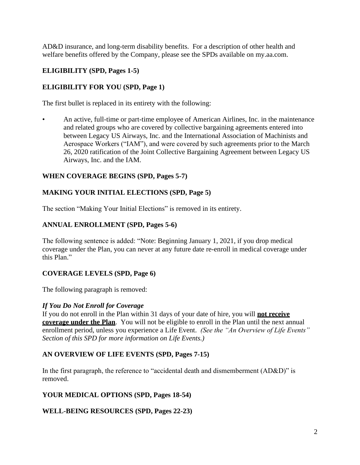AD&D insurance, and long-term disability benefits. For a description of other health and welfare benefits offered by the Company, please see the SPDs available on my.aa.com.

## **ELIGIBILITY (SPD, Pages 1-5)**

# **ELIGIBILITY FOR YOU (SPD, Page 1)**

The first bullet is replaced in its entirety with the following:

• An active, full-time or part-time employee of American Airlines, Inc. in the maintenance and related groups who are covered by collective bargaining agreements entered into between Legacy US Airways, Inc. and the International Association of Machinists and Aerospace Workers ("IAM"), and were covered by such agreements prior to the March 26, 2020 ratification of the Joint Collective Bargaining Agreement between Legacy US Airways, Inc. and the IAM.

### **WHEN COVERAGE BEGINS (SPD, Pages 5-7)**

### **MAKING YOUR INITIAL ELECTIONS (SPD, Page 5)**

The section "Making Your Initial Elections" is removed in its entirety.

### **ANNUAL ENROLLMENT (SPD, Pages 5-6)**

The following sentence is added: "Note: Beginning January 1, 2021, if you drop medical coverage under the Plan, you can never at any future date re-enroll in medical coverage under this Plan."

### **COVERAGE LEVELS (SPD, Page 6)**

The following paragraph is removed:

#### *If You Do Not Enroll for Coverage*

If you do not enroll in the Plan within 31 days of your date of hire, you will **not receive coverage under the Plan**. You will not be eligible to enroll in the Plan until the next annual enrollment period, unless you experience a Life Event. *(See the "An Overview of Life Events" Section of this SPD for more information on Life Events.)*

### **AN OVERVIEW OF LIFE EVENTS (SPD, Pages 7-15)**

In the first paragraph, the reference to "accidental death and dismemberment (AD&D)" is removed.

#### **YOUR MEDICAL OPTIONS (SPD, Pages 18-54)**

### **WELL-BEING RESOURCES (SPD, Pages 22-23)**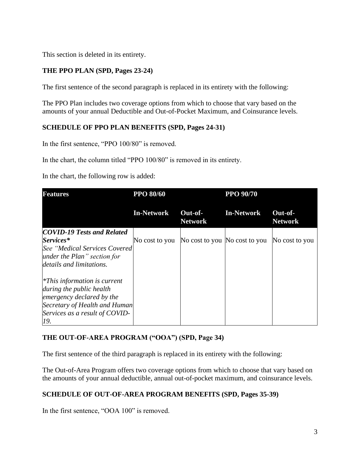This section is deleted in its entirety.

# **THE PPO PLAN (SPD, Pages 23-24)**

The first sentence of the second paragraph is replaced in its entirety with the following:

The PPO Plan includes two coverage options from which to choose that vary based on the amounts of your annual Deductible and Out-of-Pocket Maximum, and Coinsurance levels.

### **SCHEDULE OF PPO PLAN BENEFITS (SPD, Pages 24-31)**

In the first sentence, "PPO 100/80" is removed.

In the chart, the column titled "PPO 100/80" is removed in its entirety.

In the chart, the following row is added:

| <b>Features</b>                   | <b>PPO 80/60</b>  |                           | <b>PPO 90/70</b>              |                           |
|-----------------------------------|-------------------|---------------------------|-------------------------------|---------------------------|
|                                   | <b>In-Network</b> | Out-of-<br><b>Network</b> | <b>In-Network</b>             | Out-of-<br><b>Network</b> |
| <b>COVID-19 Tests and Related</b> |                   |                           |                               |                           |
| Services*                         | No cost to you    |                           | No cost to you No cost to you | No cost to you            |
| See "Medical Services Covered     |                   |                           |                               |                           |
| under the Plan" section for       |                   |                           |                               |                           |
| details and limitations.          |                   |                           |                               |                           |
| $*This information is current$    |                   |                           |                               |                           |
| during the public health          |                   |                           |                               |                           |
| emergency declared by the         |                   |                           |                               |                           |
| Secretary of Health and Human     |                   |                           |                               |                           |
| Services as a result of COVID-    |                   |                           |                               |                           |
| 19.                               |                   |                           |                               |                           |

### **THE OUT-OF-AREA PROGRAM ("OOA") (SPD, Page 34)**

The first sentence of the third paragraph is replaced in its entirety with the following:

The Out-of-Area Program offers two coverage options from which to choose that vary based on the amounts of your annual deductible, annual out-of-pocket maximum, and coinsurance levels.

# **SCHEDULE OF OUT-OF-AREA PROGRAM BENEFITS (SPD, Pages 35-39)**

In the first sentence, "OOA 100" is removed.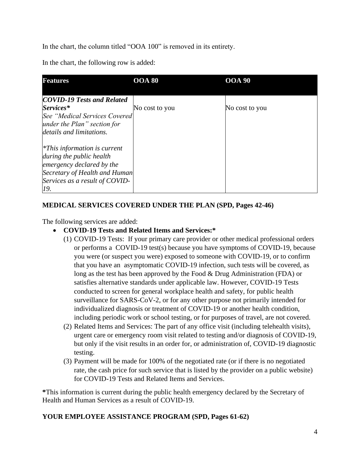In the chart, the column titled "OOA 100" is removed in its entirety.

In the chart, the following row is added:

| <b>Features</b>                   | <b>OOA 80</b>  | <b>OOA 90</b>  |
|-----------------------------------|----------------|----------------|
|                                   |                |                |
| <b>COVID-19 Tests and Related</b> |                |                |
| Services*                         | No cost to you | No cost to you |
| See "Medical Services Covered     |                |                |
| under the Plan" section for       |                |                |
| details and limitations.          |                |                |
| $*This$ information is current    |                |                |
| during the public health          |                |                |
| emergency declared by the         |                |                |
| Secretary of Health and Human     |                |                |
| Services as a result of COVID-    |                |                |
| 19.                               |                |                |

## **MEDICAL SERVICES COVERED UNDER THE PLAN (SPD, Pages 42-46)**

The following services are added:

### • **COVID-19 Tests and Related Items and Services:\***

- (1) COVID-19 Tests: If your primary care provider or other medical professional orders or performs a COVID-19 test(s) because you have symptoms of COVID-19, because you were (or suspect you were) exposed to someone with COVID-19, or to confirm that you have an asymptomatic COVID-19 infection, such tests will be covered, as long as the test has been approved by the Food & Drug Administration (FDA) or satisfies alternative standards under applicable law. However, COVID-19 Tests conducted to screen for general workplace health and safety, for public health surveillance for SARS-CoV-2, or for any other purpose not primarily intended for individualized diagnosis or treatment of COVID-19 or another health condition, including periodic work or school testing, or for purposes of travel, are not covered.
- (2) Related Items and Services: The part of any office visit (including telehealth visits), urgent care or emergency room visit related to testing and/or diagnosis of COVID-19, but only if the visit results in an order for, or administration of, COVID-19 diagnostic testing.
- (3) Payment will be made for 100% of the negotiated rate (or if there is no negotiated rate, the cash price for such service that is listed by the provider on a public website) for COVID-19 Tests and Related Items and Services.

**\***This information is current during the public health emergency declared by the Secretary of Health and Human Services as a result of COVID-19.

### **YOUR EMPLOYEE ASSISTANCE PROGRAM (SPD, Pages 61-62)**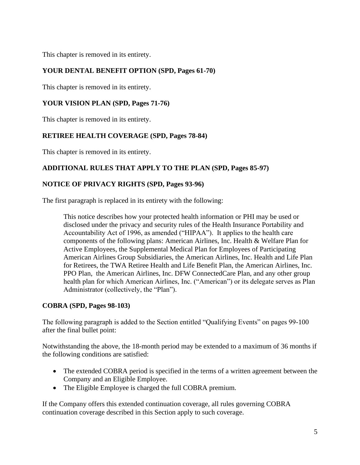This chapter is removed in its entirety.

## **YOUR DENTAL BENEFIT OPTION (SPD, Pages 61-70)**

This chapter is removed in its entirety.

## **YOUR VISION PLAN (SPD, Pages 71-76)**

This chapter is removed in its entirety.

### **RETIREE HEALTH COVERAGE (SPD, Pages 78-84)**

This chapter is removed in its entirety.

### **ADDITIONAL RULES THAT APPLY TO THE PLAN (SPD, Pages 85-97)**

### **NOTICE OF PRIVACY RIGHTS (SPD, Pages 93-96)**

The first paragraph is replaced in its entirety with the following:

This notice describes how your protected health information or PHI may be used or disclosed under the privacy and security rules of the Health Insurance Portability and Accountability Act of 1996, as amended ("HIPAA"). It applies to the health care components of the following plans: American Airlines, Inc. Health & Welfare Plan for Active Employees, the Supplemental Medical Plan for Employees of Participating American Airlines Group Subsidiaries, the American Airlines, Inc. Health and Life Plan for Retirees, the TWA Retiree Health and Life Benefit Plan, the American Airlines, Inc. PPO Plan, the American Airlines, Inc. DFW ConnectedCare Plan, and any other group health plan for which American Airlines, Inc. ("American") or its delegate serves as Plan Administrator (collectively, the "Plan").

### **COBRA (SPD, Pages 98-103)**

The following paragraph is added to the Section entitled "Qualifying Events" on pages 99-100 after the final bullet point:

Notwithstanding the above, the 18-month period may be extended to a maximum of 36 months if the following conditions are satisfied:

- The extended COBRA period is specified in the terms of a written agreement between the Company and an Eligible Employee.
- The Eligible Employee is charged the full COBRA premium.

If the Company offers this extended continuation coverage, all rules governing COBRA continuation coverage described in this Section apply to such coverage.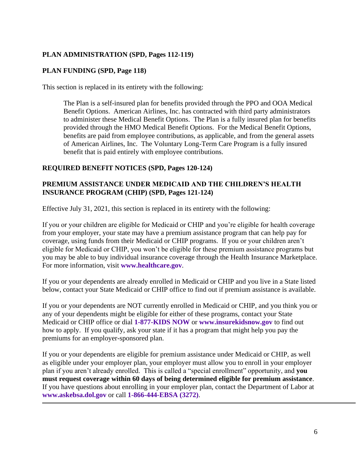# **PLAN ADMINISTRATION (SPD, Pages 112-119)**

## **PLAN FUNDING (SPD, Page 118)**

This section is replaced in its entirety with the following:

The Plan is a self-insured plan for benefits provided through the PPO and OOA Medical Benefit Options. American Airlines, Inc. has contracted with third party administrators to administer these Medical Benefit Options. The Plan is a fully insured plan for benefits provided through the HMO Medical Benefit Options. For the Medical Benefit Options, benefits are paid from employee contributions, as applicable, and from the general assets of American Airlines, Inc. The Voluntary Long-Term Care Program is a fully insured benefit that is paid entirely with employee contributions.

### **REQUIRED BENEFIT NOTICES (SPD, Pages 120-124)**

### **PREMIUM ASSISTANCE UNDER MEDICAID AND THE CHILDREN'S HEALTH INSURANCE PROGRAM (CHIP) (SPD, Pages 121-124)**

Effective July 31, 2021, this section is replaced in its entirety with the following:

If you or your children are eligible for Medicaid or CHIP and you're eligible for health coverage from your employer, your state may have a premium assistance program that can help pay for coverage, using funds from their Medicaid or CHIP programs. If you or your children aren't eligible for Medicaid or CHIP, you won't be eligible for these premium assistance programs but you may be able to buy individual insurance coverage through the Health Insurance Marketplace. For more information, visit **[www.healthcare.gov](http://www.healthcare.gov/)**.

If you or your dependents are already enrolled in Medicaid or CHIP and you live in a State listed below, contact your State Medicaid or CHIP office to find out if premium assistance is available.

If you or your dependents are NOT currently enrolled in Medicaid or CHIP, and you think you or any of your dependents might be eligible for either of these programs, contact your State Medicaid or CHIP office or dial **1-877-KIDS NOW** or **[www.insurekidsnow.gov](http://www.insurekidsnow.gov/)** to find out how to apply. If you qualify, ask your state if it has a program that might help you pay the premiums for an employer-sponsored plan.

If you or your dependents are eligible for premium assistance under Medicaid or CHIP, as well as eligible under your employer plan, your employer must allow you to enroll in your employer plan if you aren't already enrolled. This is called a "special enrollment" opportunity, and **you must request coverage within 60 days of being determined eligible for premium assistance**. If you have questions about enrolling in your employer plan, contact the Department of Labor at **[www.askebsa.dol.gov](http://www.askebsa.dol.gov/)** or call **1-866-444-EBSA (3272)**.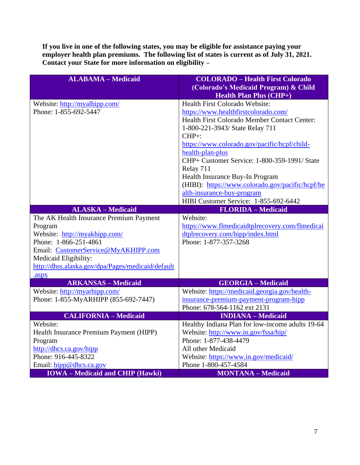**If you live in one of the following states, you may be eligible for assistance paying your**  employer health plan premiums. The following list of states is current as of July 31, 2021. **Contact your State for more information on eligibility –**

| <b>ALABAMA - Medicaid</b>                         | <b>COLORADO - Health First Colorado</b><br>(Colorado's Medicaid Program) & Child<br><b>Health Plan Plus (CHP+)</b> |
|---------------------------------------------------|--------------------------------------------------------------------------------------------------------------------|
| Website: http://myalhipp.com/                     | Health First Colorado Website:                                                                                     |
| Phone: 1-855-692-5447                             | https://www.healthfirstcolorado.com/                                                                               |
|                                                   | Health First Colorado Member Contact Center:                                                                       |
|                                                   | 1-800-221-3943/ State Relay 711                                                                                    |
|                                                   | $CHP+$ :                                                                                                           |
|                                                   | https://www.colorado.gov/pacific/hcpf/child-                                                                       |
|                                                   | health-plan-plus                                                                                                   |
|                                                   | CHP+ Customer Service: 1-800-359-1991/ State                                                                       |
|                                                   | Relay 711                                                                                                          |
|                                                   | Health Insurance Buy-In Program                                                                                    |
|                                                   | (HIBI): https://www.colorado.gov/pacific/hcpf/he                                                                   |
|                                                   | alth-insurance-buy-program<br>HIBI Customer Service: 1-855-692-6442                                                |
| <b>ALASKA - Medicaid</b>                          | <b>FLORIDA</b> - Medicaid                                                                                          |
| The AK Health Insurance Premium Payment           | Website:                                                                                                           |
| Program                                           | https://www.flmedicaidtplrecovery.com/flmedicai                                                                    |
| Website: http://myakhipp.com/                     | dtplrecovery.com/hipp/index.html                                                                                   |
| Phone: 1-866-251-4861                             | Phone: 1-877-357-3268                                                                                              |
| Email: CustomerService@MyAKHIPP.com               |                                                                                                                    |
| Medicaid Eligibility:                             |                                                                                                                    |
| http://dhss.alaska.gov/dpa/Pages/medicaid/default |                                                                                                                    |
| .aspx                                             |                                                                                                                    |
| <b>ARKANSAS - Medicaid</b>                        | <b>GEORGIA - Medicaid</b>                                                                                          |
| Website: http://myarhipp.com/                     | Website: https://medicaid.georgia.gov/health-                                                                      |
| Phone: 1-855-MyARHIPP (855-692-7447)              | insurance-premium-payment-program-hipp                                                                             |
|                                                   | Phone: 678-564-1162 ext 2131                                                                                       |
| <b>CALIFORNIA - Medicaid</b>                      | <b>INDIANA</b> - Medicaid                                                                                          |
| Website:                                          | Healthy Indiana Plan for low-income adults 19-64                                                                   |
| Health Insurance Premium Payment (HIPP)           | Website: http://www.in.gov/fssa/hip/<br>Phone: 1-877-438-4479                                                      |
| Program<br>http://dhcs.ca.gov/hipp                | All other Medicaid                                                                                                 |
| Phone: 916-445-8322                               | Website: https://www.in.gov/medicaid/                                                                              |
|                                                   |                                                                                                                    |
| Email: hipp@dhcs.ca.gov                           | Phone 1-800-457-4584                                                                                               |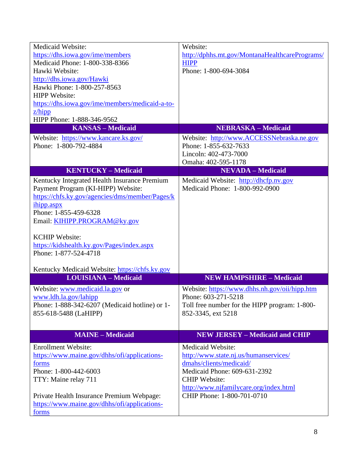| <b>Medicaid Website:</b>                                            | Website:                                                             |
|---------------------------------------------------------------------|----------------------------------------------------------------------|
| https://dhs.iowa.gov/ime/members                                    | http://dphhs.mt.gov/MontanaHealthcarePrograms/                       |
| Medicaid Phone: 1-800-338-8366                                      | <b>HIPP</b>                                                          |
| Hawki Website:                                                      | Phone: 1-800-694-3084                                                |
| http://dhs.iowa.gov/Hawki                                           |                                                                      |
| Hawki Phone: 1-800-257-8563                                         |                                                                      |
| <b>HIPP</b> Website:                                                |                                                                      |
| https://dhs.iowa.gov/ime/members/medicaid-a-to-                     |                                                                      |
| $z$ /hipp                                                           |                                                                      |
| HIPP Phone: 1-888-346-9562                                          |                                                                      |
| <b>KANSAS - Medicaid</b>                                            | <b>NEBRASKA - Medicaid</b>                                           |
| Website: https://www.kancare.ks.gov/                                | Website: http://www.ACCESSNebraska.ne.gov                            |
| Phone: 1-800-792-4884                                               | Phone: 1-855-632-7633                                                |
|                                                                     | Lincoln: 402-473-7000                                                |
|                                                                     | Omaha: 402-595-1178                                                  |
| <b>KENTUCKY-Medicaid</b>                                            | <b>NEVADA - Medicaid</b>                                             |
| Kentucky Integrated Health Insurance Premium                        | Medicaid Website: http://dhcfp.nv.gov                                |
| Payment Program (KI-HIPP) Website:                                  | Medicaid Phone: 1-800-992-0900                                       |
| https://chfs.ky.gov/agencies/dms/member/Pages/k                     |                                                                      |
|                                                                     |                                                                      |
| ihipp.aspx                                                          |                                                                      |
| Phone: 1-855-459-6328                                               |                                                                      |
| Email: KIHIPP.PROGRAM@ky.gov                                        |                                                                      |
| <b>KCHIP Website:</b>                                               |                                                                      |
|                                                                     |                                                                      |
| https://kidshealth.ky.gov/Pages/index.aspx<br>Phone: 1-877-524-4718 |                                                                      |
|                                                                     |                                                                      |
| Kentucky Medicaid Website: https://chfs.ky.gov                      |                                                                      |
| <b>LOUISIANA - Medicaid</b>                                         | <b>NEW HAMPSHIRE - Medicaid</b>                                      |
| Website: www.medicaid.la.gov or                                     |                                                                      |
| www.ldh.la.gov/lahipp                                               | Website: https://www.dhhs.nh.gov/oii/hipp.htm<br>Phone: 603-271-5218 |
|                                                                     |                                                                      |
| Phone: 1-888-342-6207 (Medicaid hotline) or 1-                      | Toll free number for the HIPP program: 1-800-                        |
| 855-618-5488 (LaHIPP)                                               | 852-3345, ext 5218                                                   |
|                                                                     |                                                                      |
| <b>MAINE - Medicaid</b>                                             | <b>NEW JERSEY - Medicaid and CHIP</b>                                |
| <b>Enrollment Website:</b>                                          | Medicaid Website:                                                    |
| https://www.maine.gov/dhhs/ofi/applications-                        | http://www.state.nj.us/humanservices/                                |
| forms                                                               | dmahs/clients/medicaid/                                              |
| Phone: 1-800-442-6003                                               | Medicaid Phone: 609-631-2392                                         |
| TTY: Maine relay 711                                                | <b>CHIP Website:</b>                                                 |
|                                                                     | http://www.njfamilycare.org/index.html                               |
| Private Health Insurance Premium Webpage:                           | CHIP Phone: 1-800-701-0710                                           |
| https://www.maine.gov/dhhs/ofi/applications-                        |                                                                      |
| forms                                                               |                                                                      |
|                                                                     |                                                                      |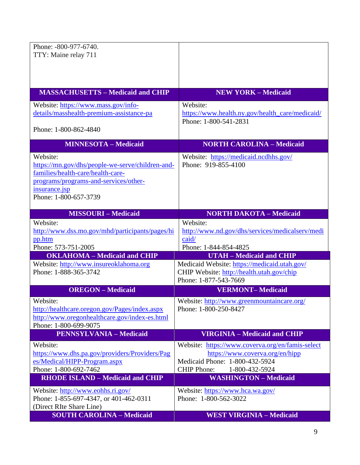| Phone: -800-977-6740.                                           |                                                                     |
|-----------------------------------------------------------------|---------------------------------------------------------------------|
| TTY: Maine relay 711                                            |                                                                     |
|                                                                 |                                                                     |
|                                                                 |                                                                     |
|                                                                 |                                                                     |
| <b>MASSACHUSETTS - Medicaid and CHIP</b>                        | <b>NEW YORK - Medicaid</b>                                          |
| Website: https://www.mass.gov/info-                             | Website:                                                            |
| details/masshealth-premium-assistance-pa                        | https://www.health.ny.gov/health_care/medicaid/                     |
|                                                                 | Phone: 1-800-541-2831                                               |
| Phone: 1-800-862-4840                                           |                                                                     |
| <b>MINNESOTA - Medicaid</b>                                     | <b>NORTH CAROLINA - Medicaid</b>                                    |
| Website:                                                        | Website: https://medicaid.ncdhhs.gov/                               |
| https://mn.gov/dhs/people-we-serve/children-and-                | Phone: 919-855-4100                                                 |
| families/health-care/health-care-                               |                                                                     |
| programs/programs-and-services/other-                           |                                                                     |
| insurance.jsp<br>Phone: 1-800-657-3739                          |                                                                     |
|                                                                 |                                                                     |
| <b>MISSOURI-Medicaid</b>                                        | <b>NORTH DAKOTA - Medicaid</b>                                      |
| Website:                                                        | Website:                                                            |
| http://www.dss.mo.gov/mhd/participants/pages/hi                 | http://www.nd.gov/dhs/services/medicalserv/medi                     |
| pp.htm                                                          | caid/                                                               |
| Phone: 573-751-2005                                             | Phone: 1-844-854-4825                                               |
| <b>OKLAHOMA</b> - Medicaid and CHIP                             | <b>UTAH - Medicaid and CHIP</b>                                     |
| Website: http://www.insureoklahoma.org<br>Phone: 1-888-365-3742 | Medicaid Website: https://medicaid.utah.gov/                        |
|                                                                 | CHIP Website: http://health.utah.gov/chip<br>Phone: 1-877-543-7669  |
| <b>OREGON</b> – Medicaid                                        | <b>VERMONT-Medicaid</b>                                             |
|                                                                 |                                                                     |
| Website:<br>http://healthcare.orgon.gov/Pages/index.aspx        | Website: http://www.greenmountaincare.org/<br>Phone: 1-800-250-8427 |
| http://www.oregonhealthcare.gov/index-es.html                   |                                                                     |
| Phone: 1-800-699-9075                                           |                                                                     |
| <b>PENNSYLVANIA - Medicaid</b>                                  | <b>VIRGINIA - Medicaid and CHIP</b>                                 |
| Website:                                                        | Website: https://www.coverva.org/en/famis-select                    |
| https://www.dhs.pa.gov/providers/Providers/Pag                  | https://www.coverva.org/en/hipp                                     |
| es/Medical/HIPP-Program.aspx                                    | Medicaid Phone: 1-800-432-5924                                      |
| Phone: 1-800-692-7462                                           | <b>CHIP Phone:</b><br>1-800-432-5924                                |
| <b>RHODE ISLAND - Medicaid and CHIP</b>                         | <b>WASHINGTON - Medicaid</b>                                        |
| Website: http://www.eohhs.ri.gov/                               | Website: https://www.hca.wa.gov/                                    |
| Phone: 1-855-697-4347, or 401-462-0311                          | Phone: 1-800-562-3022                                               |
| (Direct RIte Share Line)                                        |                                                                     |
| <b>SOUTH CAROLINA - Medicaid</b>                                | <b>WEST VIRGINIA - Medicaid</b>                                     |